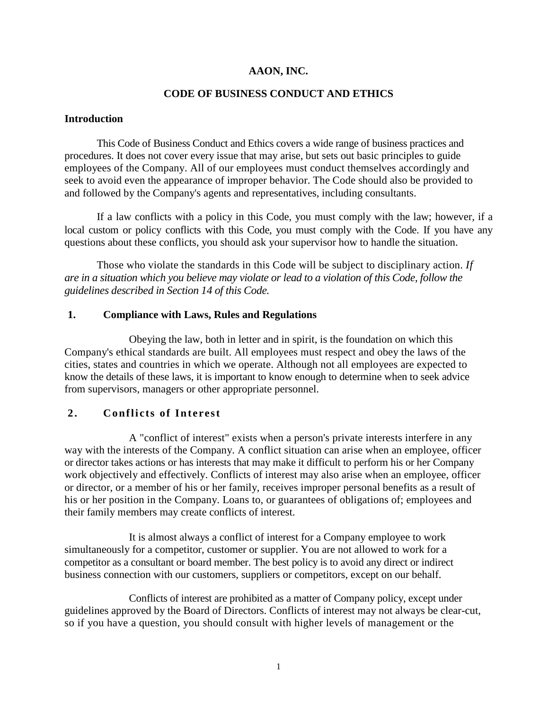### **AAON, INC.**

### **CODE OF BUSINESS CONDUCT AND ETHICS**

#### **Introduction**

This Code of Business Conduct and Ethics covers a wide range of business practices and procedures. It does not cover every issue that may arise, but sets out basic principles to guide employees of the Company. All of our employees must conduct themselves accordingly and seek to avoid even the appearance of improper behavior. The Code should also be provided to and followed by the Company's agents and representatives, including consultants.

If a law conflicts with a policy in this Code, you must comply with the law; however, if a local custom or policy conflicts with this Code, you must comply with the Code. If you have any questions about these conflicts, you should ask your supervisor how to handle the situation.

Those who violate the standards in this Code will be subject to disciplinary action. *If are in a situation which you believe may violate or lead to a violation of this Code, follow the guidelines described in Section 14 of this Code.*

#### **1. Compliance with Laws, Rules and Regulations**

Obeying the law, both in letter and in spirit, is the foundation on which this Company's ethical standards are built. All employees must respect and obey the laws of the cities, states and countries in which we operate. Although not all employees are expected to know the details of these laws, it is important to know enough to determine when to seek advice from supervisors, managers or other appropriate personnel.

### **2. Conflicts of Interest**

A "conflict of interest" exists when a person's private interests interfere in any way with the interests of the Company. A conflict situation can arise when an employee, officer or director takes actions or has interests that may make it difficult to perform his or her Company work objectively and effectively. Conflicts of interest may also arise when an employee, officer or director, or a member of his or her family, receives improper personal benefits as a result of his or her position in the Company. Loans to, or guarantees of obligations of; employees and their family members may create conflicts of interest.

It is almost always a conflict of interest for a Company employee to work simultaneously for a competitor, customer or supplier. You are not allowed to work for a competitor as a consultant or board member. The best policy is to avoid any direct or indirect business connection with our customers, suppliers or competitors, except on our behalf.

Conflicts of interest are prohibited as a matter of Company policy, except under guidelines approved by the Board of Directors. Conflicts of interest may not always be clear-cut, so if you have a question, you should consult with higher levels of management or the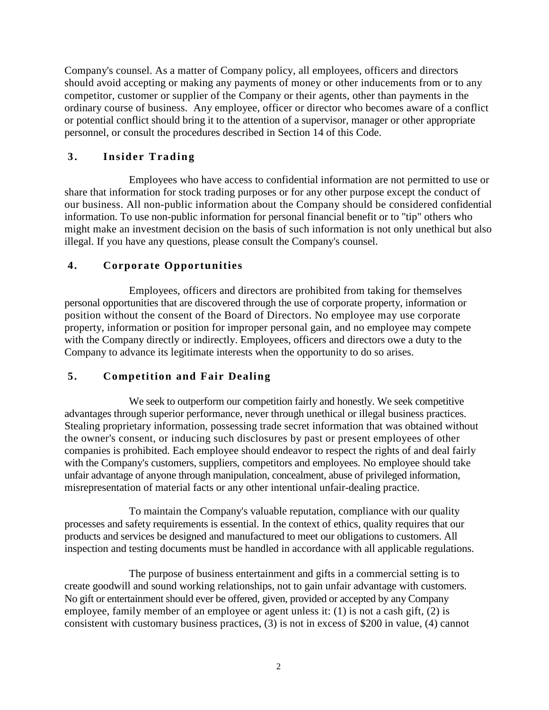Company's counsel. As a matter of Company policy, all employees, officers and directors should avoid accepting or making any payments of money or other inducements from or to any competitor, customer or supplier of the Company or their agents, other than payments in the ordinary course of business. Any employee, officer or director who becomes aware of a conflict or potential conflict should bring it to the attention of a supervisor, manager or other appropriate personnel, or consult the procedures described in Section 14 of this Code.

# **3. Insider Trading**

Employees who have access to confidential information are not permitted to use or share that information for stock trading purposes or for any other purpose except the conduct of our business. All non-public information about the Company should be considered confidential information. To use non-public information for personal financial benefit or to "tip" others who might make an investment decision on the basis of such information is not only unethical but also illegal. If you have any questions, please consult the Company's counsel.

### **4. Corporate Opportunities**

Employees, officers and directors are prohibited from taking for themselves personal opportunities that are discovered through the use of corporate property, information or position without the consent of the Board of Directors. No employee may use corporate property, information or position for improper personal gain, and no employee may compete with the Company directly or indirectly. Employees, officers and directors owe a duty to the Company to advance its legitimate interests when the opportunity to do so arises.

### **5. Competition and Fair Dealing**

We seek to outperform our competition fairly and honestly. We seek competitive advantages through superior performance, never through unethical or illegal business practices. Stealing proprietary information, possessing trade secret information that was obtained without the owner's consent, or inducing such disclosures by past or present employees of other companies is prohibited. Each employee should endeavor to respect the rights of and deal fairly with the Company's customers, suppliers, competitors and employees. No employee should take unfair advantage of anyone through manipulation, concealment, abuse of privileged information, misrepresentation of material facts or any other intentional unfair-dealing practice.

To maintain the Company's valuable reputation, compliance with our quality processes and safety requirements is essential. In the context of ethics, quality requires that our products and services be designed and manufactured to meet our obligations to customers. All inspection and testing documents must be handled in accordance with all applicable regulations.

The purpose of business entertainment and gifts in a commercial setting is to create goodwill and sound working relationships, not to gain unfair advantage with customers. No gift or entertainment should ever be offered, given, provided or accepted by any Company employee, family member of an employee or agent unless it: (1) is not a cash gift, (2) is consistent with customary business practices, (3) is not in excess of \$200 in value, (4) cannot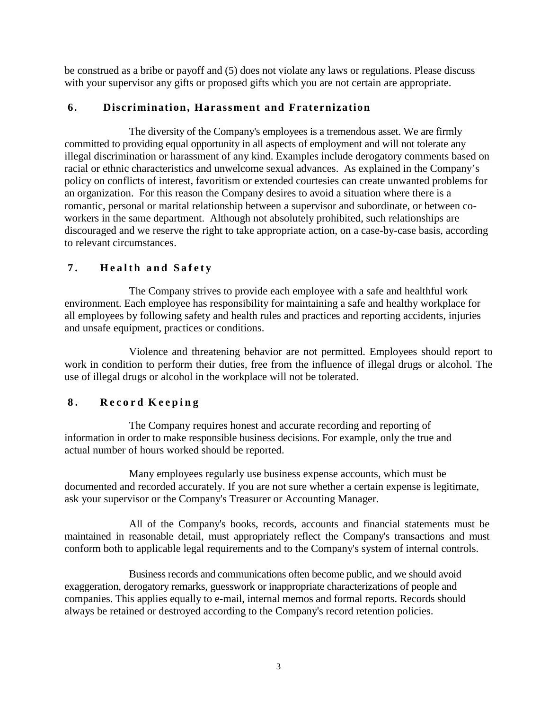be construed as a bribe or payoff and (5) does not violate any laws or regulations. Please discuss with your supervisor any gifts or proposed gifts which you are not certain are appropriate.

### **6. Discrimination, Harassment and Fraternization**

The diversity of the Company's employees is a tremendous asset. We are firmly committed to providing equal opportunity in all aspects of employment and will not tolerate any illegal discrimination or harassment of any kind. Examples include derogatory comments based on racial or ethnic characteristics and unwelcome sexual advances. As explained in the Company's policy on conflicts of interest, favoritism or extended courtesies can create unwanted problems for an organization. For this reason the Company desires to avoid a situation where there is a romantic, personal or marital relationship between a supervisor and subordinate, or between coworkers in the same department. Although not absolutely prohibited, such relationships are discouraged and we reserve the right to take appropriate action, on a case-by-case basis, according to relevant circumstances.

# **7 . Health and Safety**

The Company strives to provide each employee with a safe and healthful work environment. Each employee has responsibility for maintaining a safe and healthy workplace for all employees by following safety and health rules and practices and reporting accidents, injuries and unsafe equipment, practices or conditions.

Violence and threatening behavior are not permitted. Employees should report to work in condition to perform their duties, free from the influence of illegal drugs or alcohol. The use of illegal drugs or alcohol in the workplace will not be tolerated.

### **8 . Record - Keeping**

The Company requires honest and accurate recording and reporting of information in order to make responsible business decisions. For example, only the true and actual number of hours worked should be reported.

Many employees regularly use business expense accounts, which must be documented and recorded accurately. If you are not sure whether a certain expense is legitimate, ask your supervisor or the Company's Treasurer or Accounting Manager.

All of the Company's books, records, accounts and financial statements must be maintained in reasonable detail, must appropriately reflect the Company's transactions and must conform both to applicable legal requirements and to the Company's system of internal controls.

Business records and communications often become public, and we should avoid exaggeration, derogatory remarks, guesswork or inappropriate characterizations of people and companies. This applies equally to e-mail, internal memos and formal reports. Records should always be retained or destroyed according to the Company's record retention policies.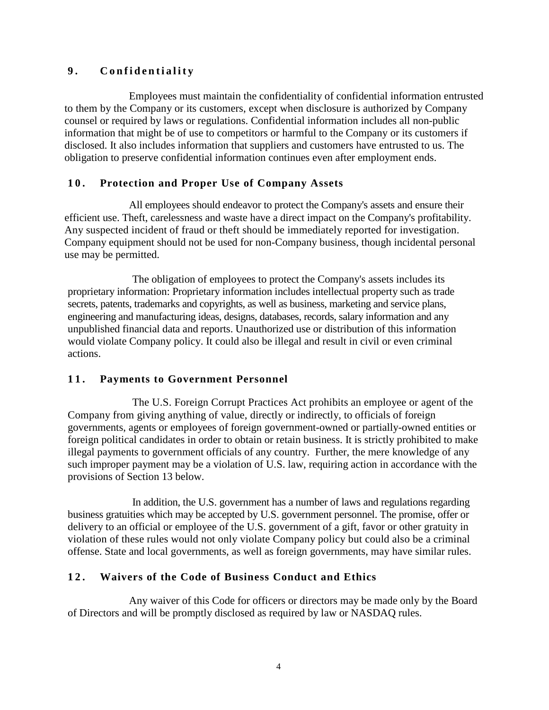# **9 . Confidentiality**

Employees must maintain the confidentiality of confidential information entrusted to them by the Company or its customers, except when disclosure is authorized by Company counsel or required by laws or regulations. Confidential information includes all non-public information that might be of use to competitors or harmful to the Company or its customers if disclosed. It also includes information that suppliers and customers have entrusted to us. The obligation to preserve confidential information continues even after employment ends.

## **10. Protection and Proper Use of Company Assets**

All employees should endeavor to protect the Company's assets and ensure their efficient use. Theft, carelessness and waste have a direct impact on the Company's profitability. Any suspected incident of fraud or theft should be immediately reported for investigation. Company equipment should not be used for non-Company business, though incidental personal use may be permitted.

The obligation of employees to protect the Company's assets includes its proprietary information: Proprietary information includes intellectual property such as trade secrets, patents, trademarks and copyrights, as well as business, marketing and service plans, engineering and manufacturing ideas, designs, databases, records, salary information and any unpublished financial data and reports. Unauthorized use or distribution of this information would violate Company policy. It could also be illegal and result in civil or even criminal actions.

# **11. Payments to Government Personnel**

The U.S. Foreign Corrupt Practices Act prohibits an employee or agent of the Company from giving anything of value, directly or indirectly, to officials of foreign governments, agents or employees of foreign government-owned or partially-owned entities or foreign political candidates in order to obtain or retain business. It is strictly prohibited to make illegal payments to government officials of any country. Further, the mere knowledge of any such improper payment may be a violation of U.S. law, requiring action in accordance with the provisions of Section 13 below.

In addition, the U.S. government has a number of laws and regulations regarding business gratuities which may be accepted by U.S. government personnel. The promise, offer or delivery to an official or employee of the U.S. government of a gift, favor or other gratuity in violation of these rules would not only violate Company policy but could also be a criminal offense. State and local governments, as well as foreign governments, may have similar rules.

### **12. Waivers of the Code of Business Conduct and Ethics**

Any waiver of this Code for officers or directors may be made only by the Board of Directors and will be promptly disclosed as required by law or NASDAQ rules.